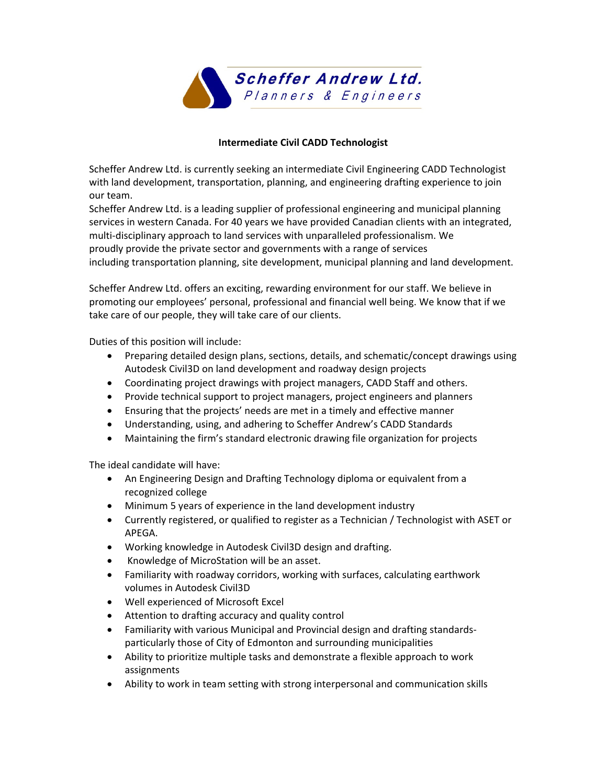

## **Intermediate Civil CADD Technologist**

Scheffer Andrew Ltd. is currently seeking an intermediate Civil Engineering CADD Technologist with land development, transportation, planning, and engineering drafting experience to join our team.

Scheffer Andrew Ltd. is a leading supplier of professional engineering and municipal planning services in western Canada. For 40 years we have provided Canadian clients with an integrated, multi‐disciplinary approach to land services with unparalleled professionalism. We proudly provide the private sector and governments with a range of services including transportation planning, site development, municipal planning and land development.

Scheffer Andrew Ltd. offers an exciting, rewarding environment for our staff. We believe in promoting our employees' personal, professional and financial well being. We know that if we take care of our people, they will take care of our clients.

Duties of this position will include:

- Preparing detailed design plans, sections, details, and schematic/concept drawings using Autodesk Civil3D on land development and roadway design projects
- Coordinating project drawings with project managers, CADD Staff and others.
- Provide technical support to project managers, project engineers and planners
- Ensuring that the projects' needs are met in a timely and effective manner
- Understanding, using, and adhering to Scheffer Andrew's CADD Standards
- Maintaining the firm's standard electronic drawing file organization for projects

The ideal candidate will have:

- An Engineering Design and Drafting Technology diploma or equivalent from a recognized college
- Minimum 5 years of experience in the land development industry
- Currently registered, or qualified to register as a Technician / Technologist with ASET or APEGA.
- Working knowledge in Autodesk Civil3D design and drafting.
- Knowledge of MicroStation will be an asset.
- Familiarity with roadway corridors, working with surfaces, calculating earthwork volumes in Autodesk Civil3D
- Well experienced of Microsoft Excel
- Attention to drafting accuracy and quality control
- Familiarity with various Municipal and Provincial design and drafting standards‐ particularly those of City of Edmonton and surrounding municipalities
- Ability to prioritize multiple tasks and demonstrate a flexible approach to work assignments
- Ability to work in team setting with strong interpersonal and communication skills